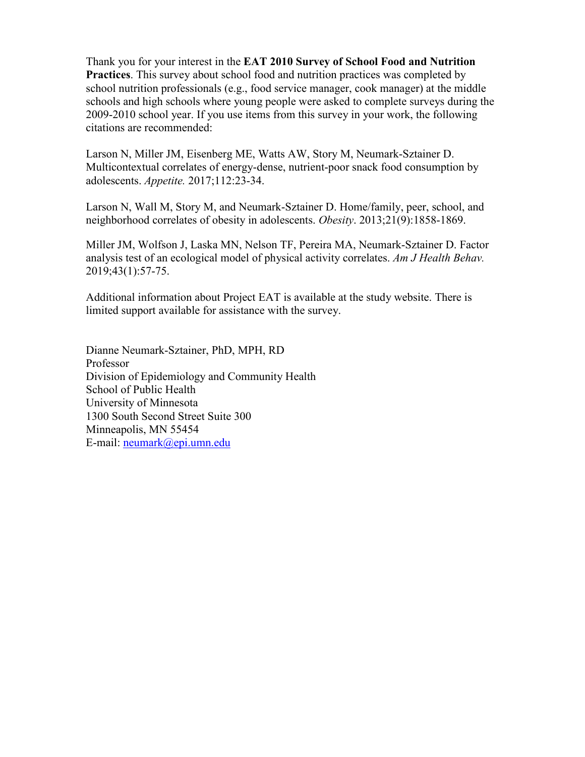Thank you for your interest in the **EAT 2010 Survey of School Food and Nutrition Practices**. This survey about school food and nutrition practices was completed by school nutrition professionals (e.g., food service manager, cook manager) at the middle schools and high schools where young people were asked to complete surveys during the 2009-2010 school year. If you use items from this survey in your work, the following citations are recommended:

[Larson N,](https://www.ncbi.nlm.nih.gov/pubmed/?term=Larson%20N%5BAuthor%5D&cauthor=true&cauthor_uid=28082196) [Miller JM,](https://www.ncbi.nlm.nih.gov/pubmed/?term=Miller%20JM%5BAuthor%5D&cauthor=true&cauthor_uid=28082196) [Eisenberg ME,](https://www.ncbi.nlm.nih.gov/pubmed/?term=Eisenberg%20ME%5BAuthor%5D&cauthor=true&cauthor_uid=28082196) [Watts AW,](https://www.ncbi.nlm.nih.gov/pubmed/?term=Watts%20AW%5BAuthor%5D&cauthor=true&cauthor_uid=28082196) [Story M,](https://www.ncbi.nlm.nih.gov/pubmed/?term=Story%20M%5BAuthor%5D&cauthor=true&cauthor_uid=28082196) [Neumark-Sztainer D.](https://www.ncbi.nlm.nih.gov/pubmed/?term=Neumark-Sztainer%20D%5BAuthor%5D&cauthor=true&cauthor_uid=28082196) Multicontextual correlates of energy-dense, nutrient-poor snack food consumption by adolescents. *[Appetite.](https://www.ncbi.nlm.nih.gov/pubmed/28082196)* 2017;112:23-34.

Larson N, Wall M, Story M, and Neumark-Sztainer D. Home/family, peer, school, and neighborhood correlates of obesity in adolescents. *Obesity*. 2013;21(9):1858-1869.

[Miller JM,](https://www.ncbi.nlm.nih.gov/pubmed/?term=Miller%20JM%5BAuthor%5D&cauthor=true&cauthor_uid=30522567) [Wolfson J,](https://www.ncbi.nlm.nih.gov/pubmed/?term=Wolfson%20J%5BAuthor%5D&cauthor=true&cauthor_uid=30522567) [Laska MN,](https://www.ncbi.nlm.nih.gov/pubmed/?term=Laska%20MN%5BAuthor%5D&cauthor=true&cauthor_uid=30522567) [Nelson TF,](https://www.ncbi.nlm.nih.gov/pubmed/?term=Nelson%20TF%5BAuthor%5D&cauthor=true&cauthor_uid=30522567) [Pereira MA,](https://www.ncbi.nlm.nih.gov/pubmed/?term=Pereira%20MA%5BAuthor%5D&cauthor=true&cauthor_uid=30522567) [Neumark-Sztainer](https://www.ncbi.nlm.nih.gov/pubmed/?term=Neumark-Sztainer%20D%5BAuthor%5D&cauthor=true&cauthor_uid=30522567) D. Factor analysis test of an ecological model of physical activity correlates. *[Am J Health Behav.](https://www.ncbi.nlm.nih.gov/pubmed/30522567)* 2019;43(1):57-75.

Additional information about Project EAT is available at the study website. There is limited support available for assistance with the survey.

Dianne Neumark-Sztainer, PhD, MPH, RD Professor Division of Epidemiology and Community Health School of Public Health University of Minnesota 1300 South Second Street Suite 300 Minneapolis, MN 55454 E-mail: [neumark@epi.umn.edu](mailto:neumark@epi.umn.edu)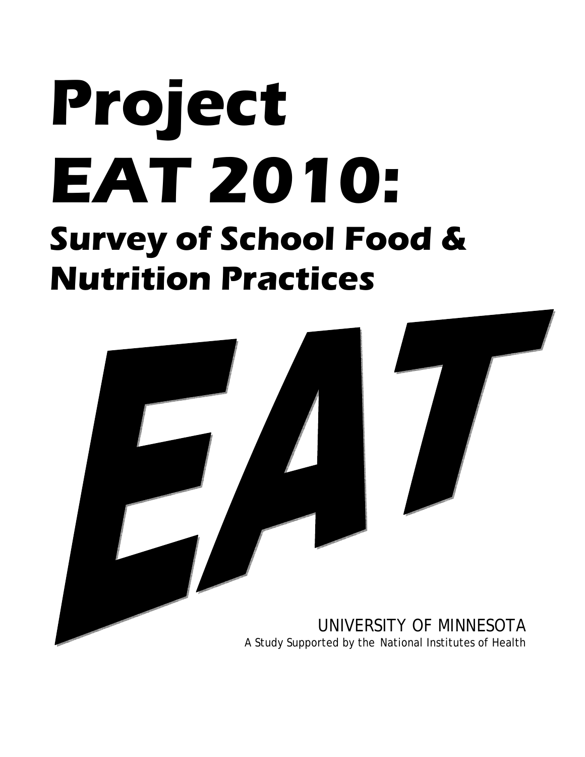# **Project EAT 2010: Survey of School Food & Nutrition Practices**

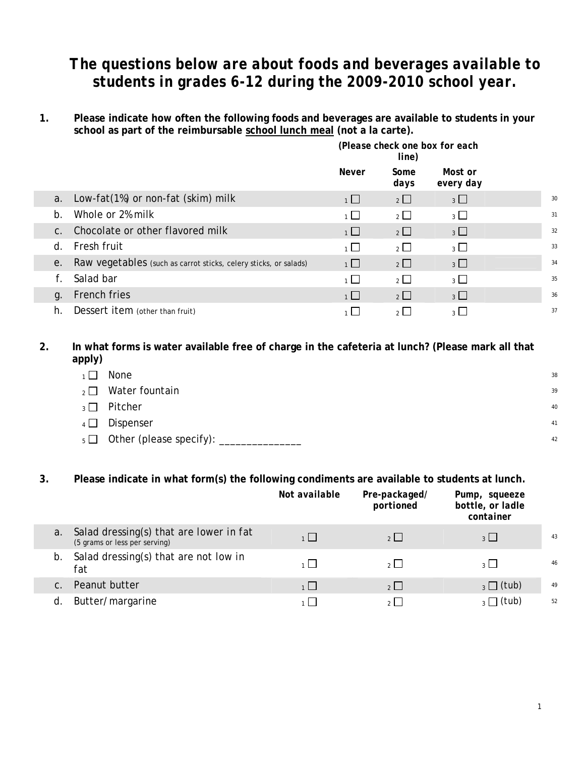### *The questions below are about foods and beverages available to students in grades 6-12 during the 2009-2010 school year.*

**1. Please indicate how often the following foods and beverages are available to students in your school as part of the reimbursable school lunch meal (not a la carte).** 

|    |                                                                  | (Please check one box for each<br>line) |                |                      |    |
|----|------------------------------------------------------------------|-----------------------------------------|----------------|----------------------|----|
|    |                                                                  | <b>Never</b>                            | Some<br>days   | Most or<br>every day |    |
| a. | Low-fat(1%) or non-fat (skim) milk                               | $1 \Box$                                | $2 \Box$       | $3 \Box$             | 30 |
| b. | Whole or 2% milk                                                 | $1 \Box$                                | $2 \Box$       | 3 <sup>1</sup>       | 31 |
|    | c. Chocolate or other flavored milk                              | $1 \Box$                                | $2 \Box$       | $3\Box$              | 32 |
| d. | Fresh fruit                                                      | $\overline{1}$                          | $\overline{2}$ | 3                    | 33 |
| е. | Raw vegetables (such as carrot sticks, celery sticks, or salads) | 1                                       | $2\Box$        | 3                    | 34 |
|    | Salad bar                                                        | $1 \mid$                                | $2\Box$        | $\overline{3}$       | 35 |
| q. | French fries                                                     | $1 \Box$                                | 2              | $3 \Box$             | 36 |
| h. | Dessert item (other than fruit)                                  | $1 \mid$                                | $2^{\square}$  | $3^{\circ}$          | 37 |

#### **2. In what forms is water available free of charge in the cafeteria at lunch? (Please mark all that apply)**

| $1 \mid$ | None                    | 38 |
|----------|-------------------------|----|
| $2 \mid$ | Water fountain          | 39 |
| $3\Box$  | Pitcher                 | 40 |
| $4\Box$  | Dispenser               | 41 |
| $5\Box$  | Other (please specify): | 42 |

#### **3. Please indicate in what form(s) the following condiments are available to students at lunch.**

|    |                                                                          | Not available | Pre-packaged/<br>portioned | Pump, squeeze<br>bottle, or ladle<br>container |    |
|----|--------------------------------------------------------------------------|---------------|----------------------------|------------------------------------------------|----|
| a. | Salad dressing(s) that are lower in fat<br>(5 grams or less per serving) | 1             | 2                          | $3 \mid$                                       | 43 |
| b. | Salad dressing(s) that are <i>not low in</i><br>fat                      | 1             | 2                          | $3 \mid$                                       | 46 |
|    | Peanut butter                                                            | 1             | 2                          | $_3 \Box$ (tub)                                | 49 |
| d  | Butter/margarine                                                         |               | $\sim$ 1                   | $_3\Box$ (tub)                                 | 52 |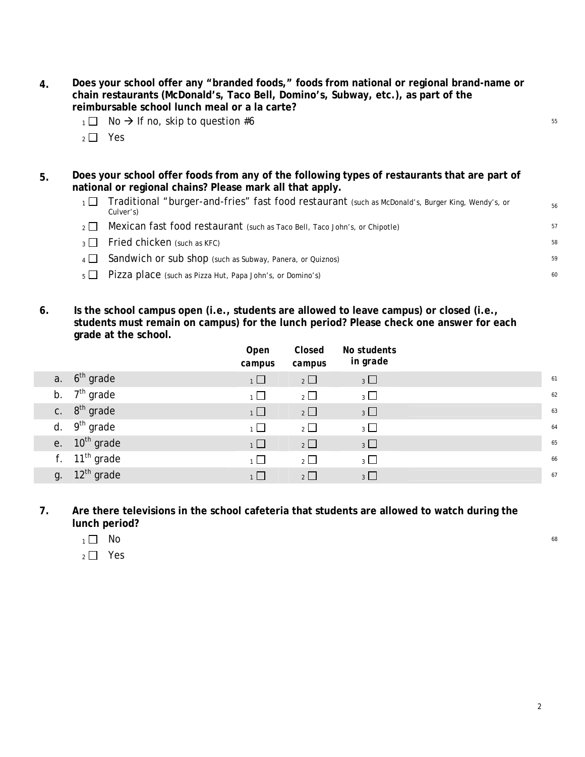- **4. Does your school offer any "branded foods," foods from national or regional brand-name or chain restaurants (McDonald's, Taco Bell, Domino's, Subway, etc.), as part of the reimbursable school lunch meal or a la carte?** 
	- $1 \square$  No  $\rightarrow$  If no, skip to question #6
	- $2 \Box$  Yes
- **5. Does your school offer foods from any of the following types of restaurants that are part of national or regional chains? Please mark all that apply.** 
	- $1 \square$  Traditional "burger-and-fries" fast food restaurant (such as McDonald's, Burger King, Wendy's, or  $56$ <br>Culver's)
	- $2 \Box$  Mexican fast food restaurant (such as Taco Bell, Taco John's, or Chipotle)  $57$
	- $\overline{3}$  Fried chicken (such as KFC)  $^{58}$
	- $4 \Box$  Sandwich or sub shop (such as Subway, Panera, or Quiznos)  $59$
	- $5 \Box$  Pizza place (such as Pizza Hut, Papa John's, or Domino's) 60
- **6. Is the school campus open (i.e., students are allowed to leave campus) or closed (i.e., students must remain on campus) for the lunch period? Please check one answer for each grade at the school.**

|                    | Open<br>campus | Closed<br>campus | No students<br>in grade |    |
|--------------------|----------------|------------------|-------------------------|----|
| a. $6th$ grade     | $1\Box$        | $2\Box$          | $3\Box$                 | 61 |
| b. $7th$ grade     | $\overline{1}$ | $\overline{2}$   | $3$ $\Box$              | 62 |
| c. $8^{th}$ grade  | $\overline{1}$ | $\overline{2}$   | $3\Box$                 | 63 |
| d. $9th$ grade     | $\overline{1}$ | $\overline{2}$   | $3\Box$                 | 64 |
| e. $10^{th}$ grade | $\overline{1}$ | $\overline{2}$   | $3$ $\Box$              | 65 |
| f. $11th$ grade    | $\overline{1}$ | $\overline{2}$   | $3$ $\Box$              | 66 |
| g. $12th$ grade    | 1              | $2^{\mid}$       | $3 \Box$                | 67 |

**7. Are there televisions in the school cafeteria that students are allowed to watch during the lunch period?** 

- $1 \Box$  No 68
- $2 \Box$  Yes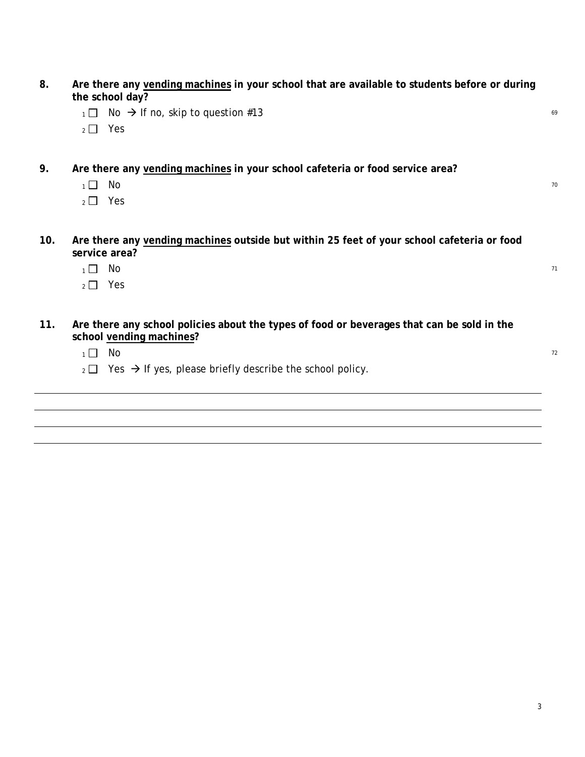| 8.  | Are there any vending machines in your school that are available to students before or during<br>the school day?       |    |
|-----|------------------------------------------------------------------------------------------------------------------------|----|
|     | No $\rightarrow$ If no, skip to question #13<br>$1\Box$                                                                | 69 |
|     | Yes<br>$\overline{2}$ $\Box$                                                                                           |    |
| 9.  | Are there any vending machines in your school cafeteria or food service area?                                          |    |
|     | No<br>$\overline{1}$                                                                                                   | 70 |
|     | Yes<br>$\overline{2}$ $\Box$                                                                                           |    |
| 10. | Are there any vending machines outside but within 25 feet of your school cafeteria or food<br>service area?            |    |
|     | No<br>$1\vert$                                                                                                         | 71 |
|     | Yes<br>$2\mid$                                                                                                         |    |
| 11. | Are there any school policies about the types of food or beverages that can be sold in the<br>school vending machines? |    |
|     | No<br>$\overline{1}$                                                                                                   | 72 |
|     | Yes $\rightarrow$ If yes, please briefly describe the school policy.<br>$2 \Box$                                       |    |
|     |                                                                                                                        |    |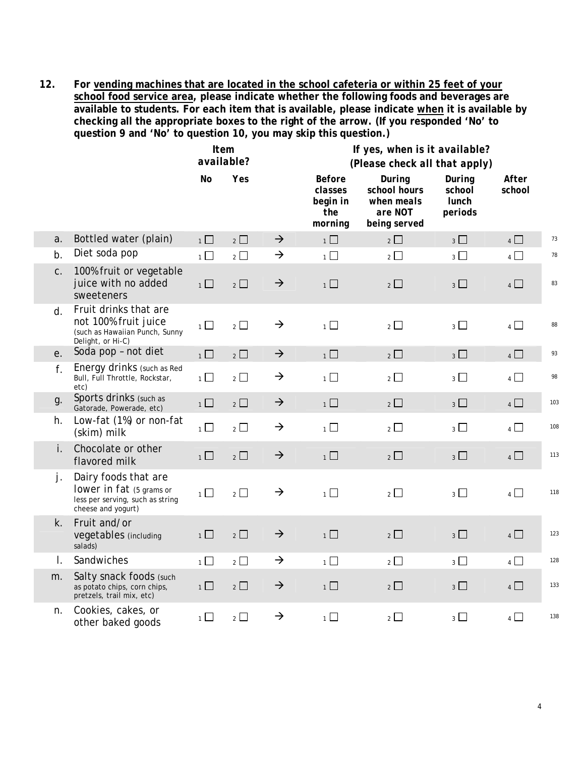**12. For vending machines that are located in the school cafeteria or within 25 feet of your school food service area, please indicate whether the following foods and beverages are available to students. For each item that is available, please indicate when it is available by checking all the appropriate boxes to the right of the arrow. (If you responded 'No' to question 9 and 'No' to question 10, you may skip this question.)**

|             |                                                                                                            | <b>Item</b><br>available? |                               |               | If yes, when is it available?<br>(Please check all that apply) |                                                                 |                                             |                 |     |  |  |
|-------------|------------------------------------------------------------------------------------------------------------|---------------------------|-------------------------------|---------------|----------------------------------------------------------------|-----------------------------------------------------------------|---------------------------------------------|-----------------|-----|--|--|
|             |                                                                                                            | No                        | Yes                           |               | <b>Before</b><br>classes<br>begin in<br>the<br>morning         | During<br>school hours<br>when meals<br>are NOT<br>being served | During<br>school<br><b>lunch</b><br>periods | After<br>school |     |  |  |
| a.          | Bottled water (plain)                                                                                      | $\overline{1}$            | $2\Box$                       | $\rightarrow$ | $1\Box$                                                        | $\overline{2}$                                                  | $3\Box$                                     | $4$ $\Box$      | 73  |  |  |
| b.          | Diet soda pop                                                                                              | $\overline{1}$            | $\overline{2}$ $\overline{2}$ | $\rightarrow$ | $\overline{1}$                                                 | $2\Box$                                                         | $_3$ $\Box$                                 | $\overline{4}$  | 78  |  |  |
| $C$ .       | 100% fruit or vegetable<br>juice with no added<br>sweeteners                                               | $1$ $\Box$                | $2\Box$                       | $\rightarrow$ | $1$ $\Box$                                                     | $2\Box$                                                         | $3\Box$                                     | $4$ $\Box$      | 83  |  |  |
| $d_{-}$     | Fruit drinks that are<br>not 100% fruit juice<br>(such as Hawaiian Punch, Sunny<br>Delight, or Hi-C)       | $\overline{1}$            | $\overline{2}$                | $\rightarrow$ | $\overline{1}$                                                 | $\overline{2}$                                                  | $3\Box$                                     | $4\Box$         | 88  |  |  |
| e.          | Soda pop - not diet                                                                                        | $1\Box$                   | $2\Box$                       | $\rightarrow$ | $\overline{1}$                                                 | $\overline{2}$                                                  | $3\Box$                                     | $4\Box$         | 93  |  |  |
| f.          | Energy drinks (such as Red<br>Bull, Full Throttle, Rockstar,<br>etc)                                       | $1\Box$                   | $2\Box$                       | $\rightarrow$ | $\overline{1}$                                                 | $2\Box$                                                         | $3\Box$                                     | 4               | 98  |  |  |
| g.          | Sports drinks (such as<br>Gatorade, Powerade, etc)                                                         | $1$ $\Box$                | $2\Box$                       | $\rightarrow$ | 1                                                              | $2\Box$                                                         | $3\Box$                                     | 4               | 103 |  |  |
| h.          | Low-fat (1%) or non-fat<br>(skim) milk                                                                     | $\overline{1}$            | $2$ $\Box$                    | $\rightarrow$ | $\overline{1}$                                                 | $\overline{2}$                                                  | $_3\square$                                 | 4               | 108 |  |  |
| i.          | Chocolate or other<br>flavored milk                                                                        | $1\Box$                   | $2\Box$                       | $\rightarrow$ | $1\Box$                                                        | $\overline{2}$ $\Box$                                           | $3\Box$                                     | $4$ $\Box$      | 113 |  |  |
| j.          | Dairy foods that are<br>lower in fat (5 grams or<br>less per serving, such as string<br>cheese and yogurt) | $1\Box$                   | $2\Box$                       | $\rightarrow$ | $1\Box$                                                        | $2\Box$                                                         | $3$ $\Box$                                  | $4$ $\Box$      | 118 |  |  |
| $k_{\cdot}$ | Fruit and/or<br>vegetables (including<br>salads)                                                           | $1\Box$                   | $2\Box$                       | $\rightarrow$ | $1\Box$                                                        | $2\Box$                                                         | $3\Box$                                     | $4$ $\Box$      | 123 |  |  |
| I.          | Sandwiches                                                                                                 | $\overline{1}$            | $\overline{2}$                | $\rightarrow$ | $\overline{1}$                                                 | $2\Box$                                                         | $3^{\Box}$                                  | $4\Box$         | 128 |  |  |
| m.          | Salty snack foods (such<br>as potato chips, corn chips,<br>pretzels, trail mix, etc)                       | $1\Box$                   | $2\Box$                       | $\rightarrow$ | $\overline{1}$                                                 | $2\Box$                                                         | $3\Box$                                     | $4\Box$         | 133 |  |  |
| n.          | Cookies, cakes, or<br>other baked goods                                                                    | $\overline{1}$            | $\overline{2}$                | $\rightarrow$ | $1$ $\Box$                                                     | $2\Box$                                                         | $_3$ $\Box$                                 | $\overline{4}$  | 138 |  |  |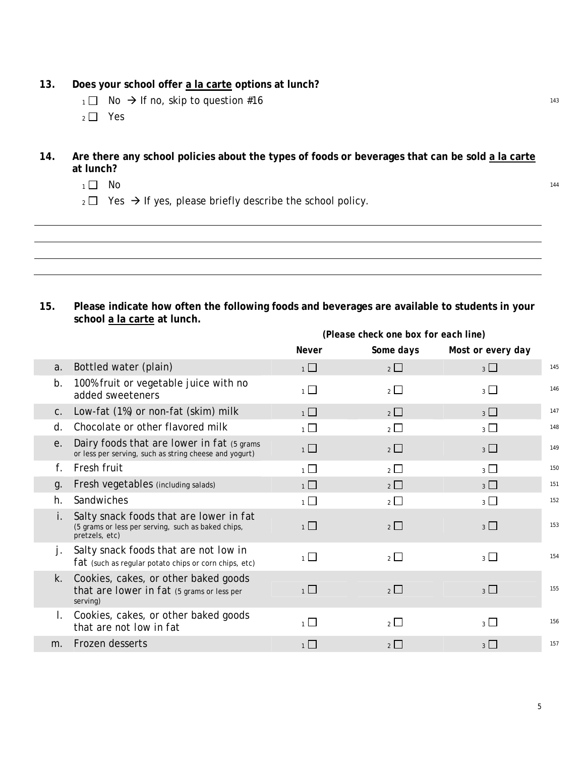#### **13. Does your school offer a la carte options at lunch?**

- $1 \square$  No  $\rightarrow$  If no, skip to question #16
- $2 \Box$  Yes

#### **14. Are there any school policies about the types of foods or beverages that can be sold a la carte at lunch?**

- $1 \Box$  No  $144$
- $_2 \square$  Yes  $\rightarrow$  If yes, please briefly describe the school policy.

**15. Please indicate how often the following foods and beverages are available to students in your school a la carte at lunch.** 

|                |                                                                                                                 | (Please check one box for each line) |            |                   |     |  |  |
|----------------|-----------------------------------------------------------------------------------------------------------------|--------------------------------------|------------|-------------------|-----|--|--|
|                |                                                                                                                 | <b>Never</b>                         | Some days  | Most or every day |     |  |  |
| a.             | Bottled water (plain)                                                                                           | $1\Box$                              | $2$ $\Box$ | 3                 | 145 |  |  |
| b.             | 100% fruit or vegetable juice with no<br>added sweeteners                                                       | $1 \Box$                             | $2\Box$    | 3 <sup>1</sup>    | 146 |  |  |
| $C_{\cdot}$    | Low-fat (1%) or non-fat (skim) milk                                                                             | 1                                    | $2$        | 3                 | 147 |  |  |
| d.             | Chocolate or other flavored milk                                                                                | 1                                    | $2^{\Box}$ | 3 <sup>1</sup>    | 148 |  |  |
| е.             | Dairy foods that are lower in fat (5 grams<br>or less per serving, such as string cheese and yogurt)            | $\overline{1}$                       | $2$ $\Box$ | $3\Box$           | 149 |  |  |
| f.             | Fresh fruit                                                                                                     | 1                                    | $2^{\mid}$ | $\overline{3}$    | 150 |  |  |
| g.             | Fresh vegetables (including salads)                                                                             | $1\Box$                              | $2\Box$    | $3\Box$           | 151 |  |  |
| h.             | Sandwiches                                                                                                      | $\overline{1}$                       | $2^{\Box}$ | $3 \Box$          | 152 |  |  |
|                | Salty snack foods that are lower in fat<br>(5 grams or less per serving, such as baked chips,<br>pretzels, etc) | $1\Box$                              | $2$ $\Box$ | 3 <sup>1</sup>    | 153 |  |  |
| j.             | Salty snack foods that are <i>not low in</i><br>$fat$ (such as regular potato chips or corn chips, etc)         | $\overline{1}$                       | $2 \Box$   | $3\Box$           | 154 |  |  |
| k.             | Cookies, cakes, or other baked goods<br>that <i>are lower in fat</i> (5 grams or less per<br>serving)           | $\overline{1}$                       | $2$ $\Box$ | $3\Box$           | 155 |  |  |
| $\mathbf{L}$   | Cookies, cakes, or other baked goods<br>that are not low in fat                                                 | $\mathbf{1}$                         | $2^{\Box}$ | 3 <sup>1</sup>    | 156 |  |  |
| m <sub>1</sub> | Frozen desserts                                                                                                 | 1                                    | $2$ $\Box$ | $3\Box$           | 157 |  |  |
|                |                                                                                                                 |                                      |            |                   |     |  |  |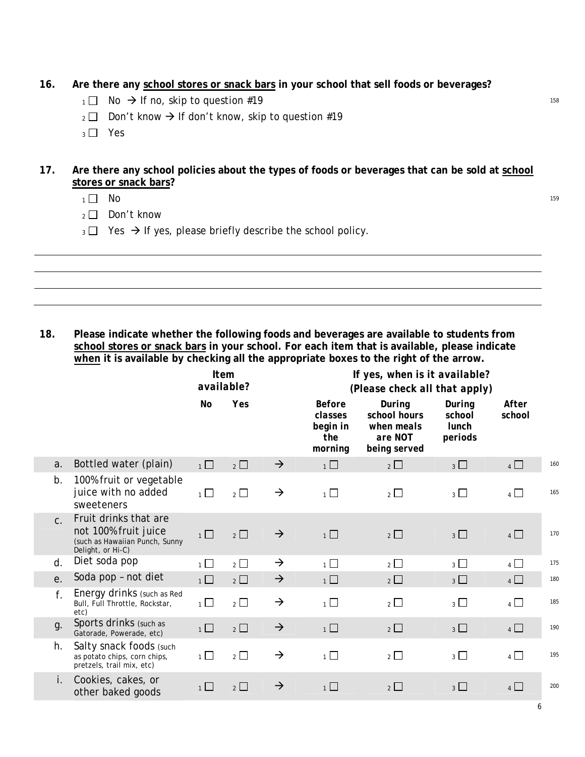- **16. Are there any school stores or snack bars in your school that sell foods or beverages?**
	- $1 \square$  No  $\rightarrow$  If no, skip to question #19
	- $_2 \square$  Don't know  $\rightarrow$  If don't know, skip to question #19
	- $3 \square$  Yes
- **17. Are there any school policies about the types of foods or beverages that can be sold at school stores or snack bars?**
	- $1 \Box$  No  $^{159}$
	- 2 **□** Don't know
	- $_3 \square$  Yes  $\rightarrow$  If yes, please briefly describe the school policy.

**18. Please indicate whether the following foods and beverages are available to students from school stores or snack bars in your school. For each item that is available, please indicate when it is available by checking all the appropriate boxes to the right of the arrow.**

|                |                                                                                                      |                | <b>Item</b><br>available? |               | If yes, when is it available?<br>(Please check all that apply) |                                                                 |                                             |                 |     |
|----------------|------------------------------------------------------------------------------------------------------|----------------|---------------------------|---------------|----------------------------------------------------------------|-----------------------------------------------------------------|---------------------------------------------|-----------------|-----|
|                |                                                                                                      | No             | Yes                       |               | <b>Before</b><br>classes<br>begin in<br>the<br>morning         | During<br>school hours<br>when meals<br>are NOT<br>being served | During<br>school<br><b>lunch</b><br>periods | After<br>school |     |
| a.             | Bottled water (plain)                                                                                | $1\Box$        | $2\Box$                   | $\rightarrow$ | $1\Box$                                                        | $2\Box$                                                         | $3\Box$                                     | $4\Box$         | 160 |
| b.             | 100% fruit or vegetable<br>juice with no added<br>sweeteners                                         | $\overline{1}$ | $\overline{2}$ $\Box$     | $\rightarrow$ | $\overline{1}$                                                 | $\overline{2}$ $\Box$                                           | $3$ $\Box$                                  | $4\Box$         | 165 |
| C <sub>1</sub> | Fruit drinks that are<br>not 100% fruit juice<br>(such as Hawaiian Punch, Sunny<br>Delight, or Hi-C) | $1\Box$        | $2\Box$                   | $\rightarrow$ | $\overline{1}$                                                 | $2\Box$                                                         | $3 \Box$                                    | $4\Box$         | 170 |
| d.             | Diet soda pop                                                                                        | $\overline{1}$ | $\overline{2}$            | $\rightarrow$ | $\overline{1}$                                                 | 2                                                               | $3\Box$                                     | 4               | 175 |
| е.             | Soda pop - not diet                                                                                  | $1$ $\Box$     | $2\Box$                   | $\rightarrow$ | $1\Box$                                                        | $2\Box$                                                         | $3\Box$                                     | $4$ $\Box$      | 180 |
| f.             | Energy drinks (such as Red<br>Bull, Full Throttle, Rockstar,<br>etc)                                 | $\overline{1}$ | $2\Box$                   | $\rightarrow$ | $\overline{1}$                                                 | $2\Box$                                                         | 3                                           | $4\Box$         | 185 |
| g.             | Sports drinks (such as<br>Gatorade, Powerade, etc)                                                   | $1\Box$        | $\overline{2}$            | $\rightarrow$ | $1\Box$                                                        | $\overline{2}$                                                  | $3\Box$                                     | $4\Box$         | 190 |
| h.             | Salty snack foods (such<br>as potato chips, corn chips,<br>pretzels, trail mix, etc)                 | $\overline{1}$ | $\overline{2}$            | $\rightarrow$ | $\overline{1}$                                                 | $\overline{2}$                                                  | $3\Box$                                     | $4\Box$         | 195 |
| i.             | Cookies, cakes, or<br>other baked goods                                                              | 1 <sup>1</sup> | $2$ $\Box$                | $\rightarrow$ | 1                                                              | $\overline{2}$ $\Box$                                           | $3\Box$                                     | $4\Box$         | 200 |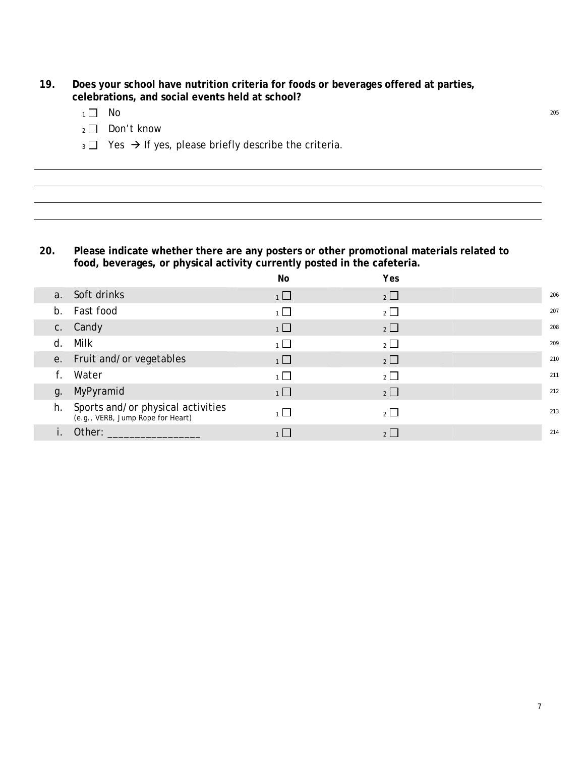- **19. Does your school have nutrition criteria for foods or beverages offered at parties, celebrations, and social events held at school?**
	- $1 \square$  No  $^{205}$
	- 2 Don't know
	- $_3$   $\Box$  Yes  $\rightarrow$  If yes, please briefly describe the criteria.

#### **20. Please indicate whether there are any posters or other promotional materials related to food, beverages, or physical activity currently posted in the cafeteria.**

|  |                                                                           | No             | Yes                   |     |
|--|---------------------------------------------------------------------------|----------------|-----------------------|-----|
|  | a. Soft drinks                                                            | $1\Box$        | $2\Box$               | 206 |
|  | b. Fast food                                                              | $1 \Box$       | $2\Box$               | 207 |
|  | c. Candy                                                                  | $1\Box$        | $\overline{2}$        | 208 |
|  | d. Milk                                                                   | $\overline{1}$ | $\overline{2}$ $\Box$ | 209 |
|  | e. Fruit and/or vegetables                                                | $1\Box$        | $2\Box$               | 210 |
|  | f. Water                                                                  | $\overline{1}$ | $\overline{2}$        | 211 |
|  | g. MyPyramid                                                              | $1\Box$        | $2\Box$               | 212 |
|  | h. Sports and/or physical activities<br>(e.g., VERB, Jump Rope for Heart) | $1 \Box$       | $\overline{2}$        | 213 |
|  | Other:                                                                    |                | 2                     | 214 |
|  |                                                                           |                |                       |     |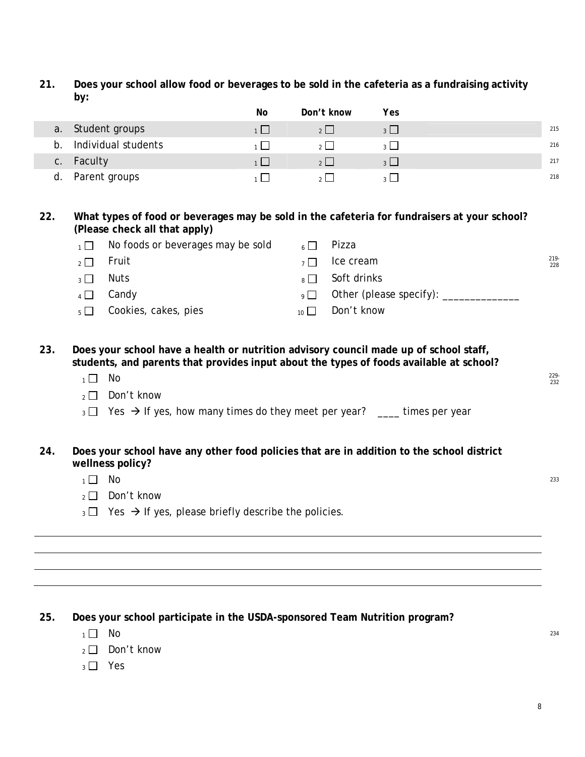**21. Does your school allow food or beverages to be sold in the cafeteria as a fundraising activity by:**

|    |                     | No | Don't know | Yes            |     |
|----|---------------------|----|------------|----------------|-----|
| a. | Student groups      |    |            | $\overline{z}$ | 215 |
| b  | Individual students |    |            |                | 216 |
|    | c. Faculty          |    |            |                | 217 |
| d. | Parent groups       |    |            |                | 218 |

**22. What types of food or beverages may be sold in the cafeteria for fundraisers at your school? (Please check all that apply)** 

| $\overline{1}$ No foods or beverages may be sold |                 | $_{6}$ Pizza             |                |
|--------------------------------------------------|-----------------|--------------------------|----------------|
| $_2 \Box$ Fruit                                  |                 | $\overline{1}$ Ice cream | $219 -$<br>228 |
| $_3\Box$ Nuts                                    |                 | $_{8}\Box$ Soft drinks   |                |
| $_4 \Box$ Candy                                  |                 |                          |                |
| $_5\Box$ Cookies, cakes, pies                    | 10 <sup>1</sup> | Don't know               |                |

**23. Does your school have a health or nutrition advisory council made up of school staff, students, and parents that provides input about the types of foods available at school?**

- $1 \Box$  No  $^{229}$
- $_2 \Box$  Don't know
- $_3 \Box$  Yes  $\rightarrow$  If yes, how many times do they meet per year? \_\_\_\_ times per year
- **24. Does your school have any other food policies that are in addition to the school district wellness policy?**
	- $1 \Box$  No  $^{233}$ 
		- $2 \square$  Don't know
		- $_3 \square$  Yes  $\rightarrow$  If yes, please briefly describe the policies.

#### **25. Does your school participate in the USDA-sponsored Team Nutrition program?**

- $1 \Box$  No  $^{234}$
- $\sqrt{2}$  Don't know
- $_3$   $\Box$  Yes

229-<br>232

8